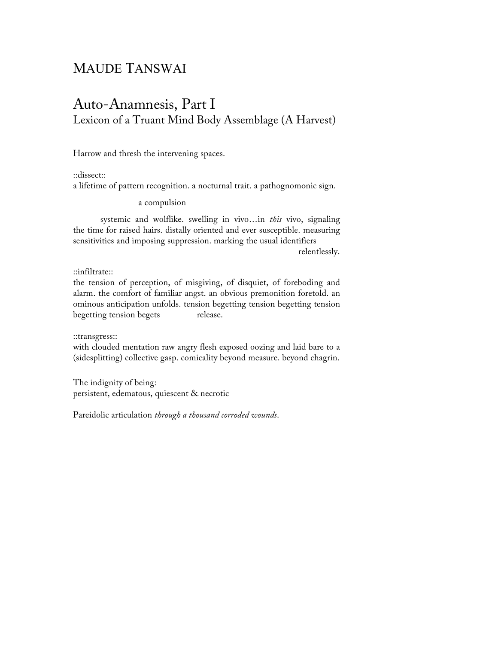## MAUDE TANSWAI

## Auto-Anamnesis, Part I Lexicon of a Truant Mind Body Assemblage (A Harvest)

Harrow and thresh the intervening spaces.

::dissect::

a lifetime of pattern recognition. a nocturnal trait. a pathognomonic sign.

a compulsion

 systemic and wolflike. swelling in vivo…in *this* vivo, signaling the time for raised hairs. distally oriented and ever susceptible. measuring sensitivities and imposing suppression. marking the usual identifiers

relentlessly.

::infiltrate::

the tension of perception, of misgiving, of disquiet, of foreboding and alarm. the comfort of familiar angst. an obvious premonition foretold. an ominous anticipation unfolds. tension begetting tension begetting tension begetting tension begets release.

::transgress::

with clouded mentation raw angry flesh exposed oozing and laid bare to a (sidesplitting) collective gasp. comicality beyond measure. beyond chagrin.

The indignity of being: persistent, edematous, quiescent & necrotic

Pareidolic articulation *through a thousand corroded wounds*.